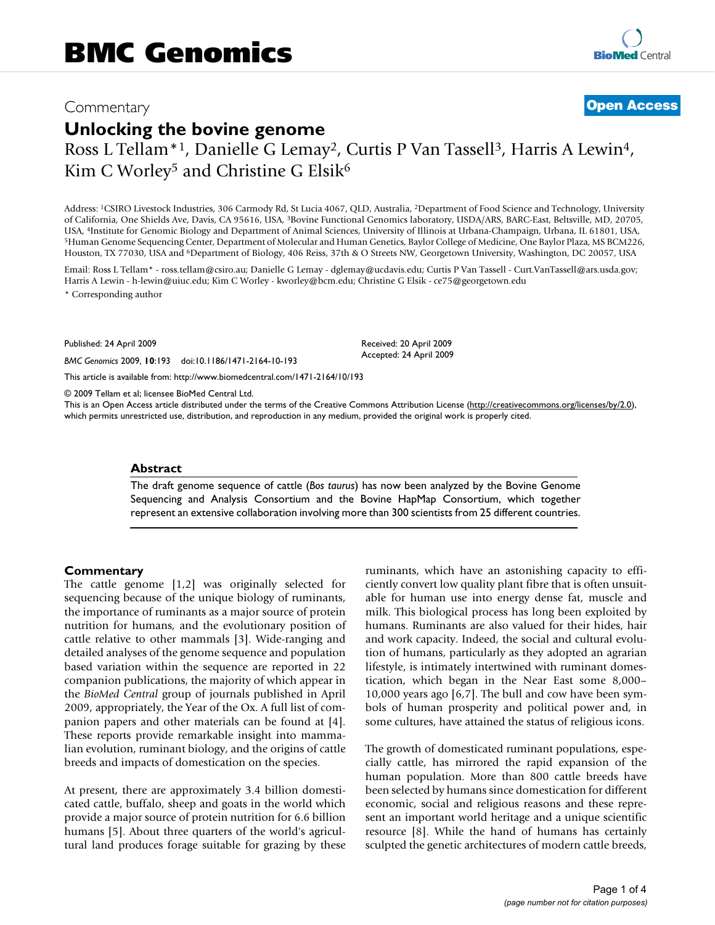# Commentary **[Open Access](http://www.biomedcentral.com/info/about/charter/)**

# **Unlocking the bovine genome** Ross L Tellam\*1, Danielle G Lemay2, Curtis P Van Tassell3, Harris A Lewin4, Kim C Worley<sup>5</sup> and Christine G Elsik<sup>6</sup>

Address: 1CSIRO Livestock Industries, 306 Carmody Rd, St Lucia 4067, QLD, Australia, 2Department of Food Science and Technology, University of California, One Shields Ave, Davis, CA 95616, USA, 3Bovine Functional Genomics laboratory, USDA/ARS, BARC-East, Beltsville, MD, 20705, USA, <sup>4</sup>Institute for Genomic Biology and Department of Animal Sciences, University of Illinois at Urbana-Champaign, Urbana, IL 61801, USA, 5Human Genome Sequencing Center, Department of Molecular and Human Genetics, Baylo Houston, TX 77030, USA and <sup>6</sup>Department of Biology, 406 Reiss, 37th & O Streets NW, Georgetown University, Washington, DC 20057, USA

Email: Ross L Tellam\* - ross.tellam@csiro.au; Danielle G Lemay - dglemay@ucdavis.edu; Curtis P Van Tassell - Curt.VanTassell@ars.usda.gov; Harris A Lewin - h-lewin@uiuc.edu; Kim C Worley - kworley@bcm.edu; Christine G Elsik - ce75@georgetown.edu \* Corresponding author

> Received: 20 April 2009 Accepted: 24 April 2009

Published: 24 April 2009

*BMC Genomics* 2009, **10**:193 doi:10.1186/1471-2164-10-193

[This article is available from: http://www.biomedcentral.com/1471-2164/10/193](http://www.biomedcentral.com/1471-2164/10/193)

© 2009 Tellam et al; licensee BioMed Central Ltd.

This is an Open Access article distributed under the terms of the Creative Commons Attribution License [\(http://creativecommons.org/licenses/by/2.0\)](http://creativecommons.org/licenses/by/2.0), which permits unrestricted use, distribution, and reproduction in any medium, provided the original work is properly cited.

#### **Abstract**

The draft genome sequence of cattle (*Bos taurus*) has now been analyzed by the Bovine Genome Sequencing and Analysis Consortium and the Bovine HapMap Consortium, which together represent an extensive collaboration involving more than 300 scientists from 25 different countries.

## **Commentary**

The cattle genome [[1](#page-2-0),[2](#page-2-1)] was originally selected for sequencing because of the unique biology of ruminants, the importance of ruminants as a major source of protein nutrition for humans, and the evolutionary position of cattle relative to other mammals [\[3](#page-3-0)]. Wide-ranging and detailed analyses of the genome sequence and population based variation within the sequence are reported in 22 companion publications, the majority of which appear in the *BioMed Central* group of journals published in April 2009, appropriately, the Year of the Ox. A full list of companion papers and other materials can be found at [[4](#page-3-1)]. These reports provide remarkable insight into mammalian evolution, ruminant biology, and the origins of cattle breeds and impacts of domestication on the species.

At present, there are approximately 3.4 billion domesticated cattle, buffalo, sheep and goats in the world which provide a major source of protein nutrition for 6.6 billion humans [\[5\]](#page-3-2). About three quarters of the world's agricultural land produces forage suitable for grazing by these ruminants, which have an astonishing capacity to efficiently convert low quality plant fibre that is often unsuitable for human use into energy dense fat, muscle and milk. This biological process has long been exploited by humans. Ruminants are also valued for their hides, hair and work capacity. Indeed, the social and cultural evolution of humans, particularly as they adopted an agrarian lifestyle, is intimately intertwined with ruminant domestication, which began in the Near East some 8,000– 10,000 years ago [\[6,](#page-3-3)[7\]](#page-3-4). The bull and cow have been symbols of human prosperity and political power and, in some cultures, have attained the status of religious icons.

The growth of domesticated ruminant populations, especially cattle, has mirrored the rapid expansion of the human population. More than 800 cattle breeds have been selected by humans since domestication for different economic, social and religious reasons and these represent an important world heritage and a unique scientific resource [\[8\]](#page-3-5). While the hand of humans has certainly sculpted the genetic architectures of modern cattle breeds,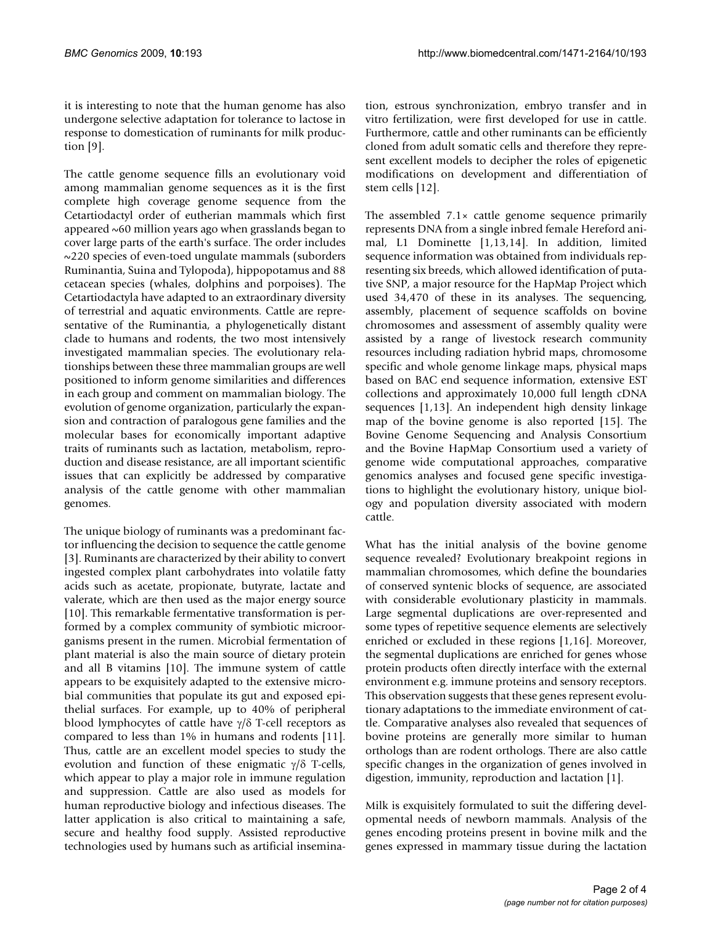it is interesting to note that the human genome has also undergone selective adaptation for tolerance to lactose in response to domestication of ruminants for milk production [\[9\]](#page-3-6).

The cattle genome sequence fills an evolutionary void among mammalian genome sequences as it is the first complete high coverage genome sequence from the Cetartiodactyl order of eutherian mammals which first appeared ~60 million years ago when grasslands began to cover large parts of the earth's surface. The order includes ~220 species of even-toed ungulate mammals (suborders Ruminantia, Suina and Tylopoda), hippopotamus and 88 cetacean species (whales, dolphins and porpoises). The Cetartiodactyla have adapted to an extraordinary diversity of terrestrial and aquatic environments. Cattle are representative of the Ruminantia, a phylogenetically distant clade to humans and rodents, the two most intensively investigated mammalian species. The evolutionary relationships between these three mammalian groups are well positioned to inform genome similarities and differences in each group and comment on mammalian biology. The evolution of genome organization, particularly the expansion and contraction of paralogous gene families and the molecular bases for economically important adaptive traits of ruminants such as lactation, metabolism, reproduction and disease resistance, are all important scientific issues that can explicitly be addressed by comparative analysis of the cattle genome with other mammalian genomes.

The unique biology of ruminants was a predominant factor influencing the decision to sequence the cattle genome [[3\]](#page-3-0). Ruminants are characterized by their ability to convert ingested complex plant carbohydrates into volatile fatty acids such as acetate, propionate, butyrate, lactate and valerate, which are then used as the major energy source [[10](#page-3-7)]. This remarkable fermentative transformation is performed by a complex community of symbiotic microorganisms present in the rumen. Microbial fermentation of plant material is also the main source of dietary protein and all B vitamins [\[10](#page-3-7)]. The immune system of cattle appears to be exquisitely adapted to the extensive microbial communities that populate its gut and exposed epithelial surfaces. For example, up to 40% of peripheral blood lymphocytes of cattle have γ/δ T-cell receptors as compared to less than 1% in humans and rodents [\[11](#page-3-8)]. Thus, cattle are an excellent model species to study the evolution and function of these enigmatic  $\gamma/\delta$  T-cells, which appear to play a major role in immune regulation and suppression. Cattle are also used as models for human reproductive biology and infectious diseases. The latter application is also critical to maintaining a safe, secure and healthy food supply. Assisted reproductive technologies used by humans such as artificial insemination, estrous synchronization, embryo transfer and in vitro fertilization, were first developed for use in cattle. Furthermore, cattle and other ruminants can be efficiently cloned from adult somatic cells and therefore they represent excellent models to decipher the roles of epigenetic modifications on development and differentiation of stem cells [[12\]](#page-3-9).

The assembled  $7.1\times$  cattle genome sequence primarily represents DNA from a single inbred female Hereford animal, L1 Dominette [[1](#page-2-0),[13](#page-3-10),[14\]](#page-3-11). In addition, limited sequence information was obtained from individuals representing six breeds, which allowed identification of putative SNP, a major resource for the HapMap Project which used 34,470 of these in its analyses. The sequencing, assembly, placement of sequence scaffolds on bovine chromosomes and assessment of assembly quality were assisted by a range of livestock research community resources including radiation hybrid maps, chromosome specific and whole genome linkage maps, physical maps based on BAC end sequence information, extensive EST collections and approximately 10,000 full length cDNA sequences [[1](#page-2-0),[13\]](#page-3-10). An independent high density linkage map of the bovine genome is also reported [\[15\]](#page-3-12). The Bovine Genome Sequencing and Analysis Consortium and the Bovine HapMap Consortium used a variety of genome wide computational approaches, comparative genomics analyses and focused gene specific investigations to highlight the evolutionary history, unique biology and population diversity associated with modern cattle.

What has the initial analysis of the bovine genome sequence revealed? Evolutionary breakpoint regions in mammalian chromosomes, which define the boundaries of conserved syntenic blocks of sequence, are associated with considerable evolutionary plasticity in mammals. Large segmental duplications are over-represented and some types of repetitive sequence elements are selectively enriched or excluded in these regions [[1](#page-2-0),[16](#page-3-13)]. Moreover, the segmental duplications are enriched for genes whose protein products often directly interface with the external environment e.g. immune proteins and sensory receptors. This observation suggests that these genes represent evolutionary adaptations to the immediate environment of cattle. Comparative analyses also revealed that sequences of bovine proteins are generally more similar to human orthologs than are rodent orthologs. There are also cattle specific changes in the organization of genes involved in digestion, immunity, reproduction and lactation [\[1](#page-2-0)].

Milk is exquisitely formulated to suit the differing developmental needs of newborn mammals. Analysis of the genes encoding proteins present in bovine milk and the genes expressed in mammary tissue during the lactation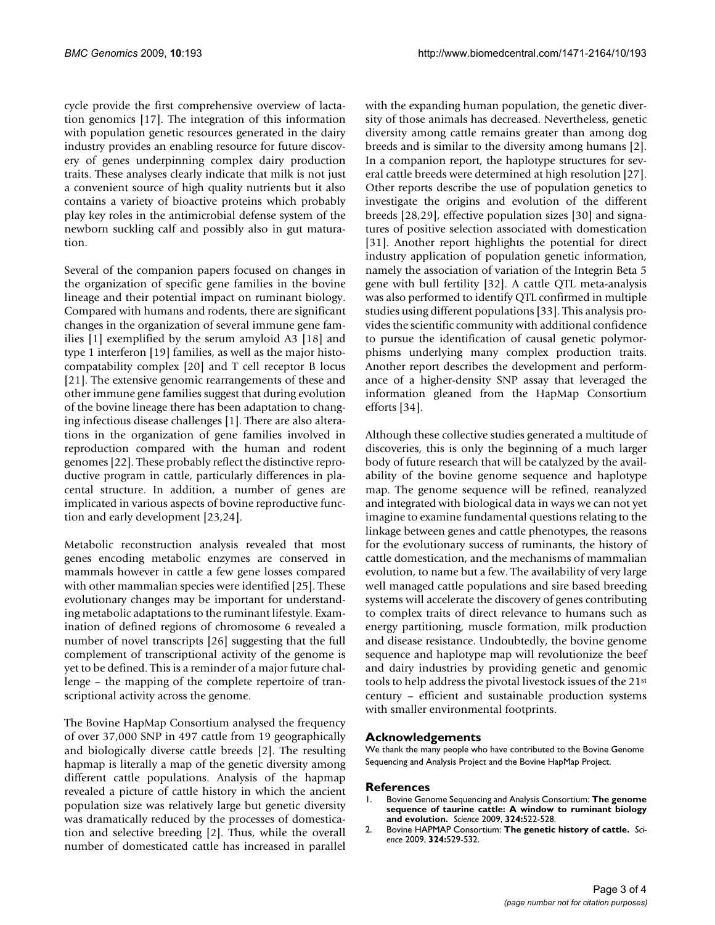cycle provide the first comprehensive overview of lactation genomics [\[17](#page-3-14)]. The integration of this information with population genetic resources generated in the dairy industry provides an enabling resource for future discovery of genes underpinning complex dairy production traits. These analyses clearly indicate that milk is not just a convenient source of high quality nutrients but it also contains a variety of bioactive proteins which probably play key roles in the antimicrobial defense system of the newborn suckling calf and possibly also in gut maturation.

Several of the companion papers focused on changes in the organization of specific gene families in the bovine lineage and their potential impact on ruminant biology. Compared with humans and rodents, there are significant changes in the organization of several immune gene families [\[1](#page-2-0)] exemplified by the serum amyloid A3 [\[18](#page-3-15)] and type 1 interferon [\[19](#page-3-16)] families, as well as the major histocompatability complex [[20](#page-3-17)] and T cell receptor B locus [[21](#page-3-18)]. The extensive genomic rearrangements of these and other immune gene families suggest that during evolution of the bovine lineage there has been adaptation to changing infectious disease challenges [\[1](#page-2-0)]. There are also alterations in the organization of gene families involved in reproduction compared with the human and rodent genomes [\[22\]](#page-3-19). These probably reflect the distinctive reproductive program in cattle, particularly differences in placental structure. In addition, a number of genes are implicated in various aspects of bovine reproductive function and early development [[23](#page-3-20),[24\]](#page-3-21).

Metabolic reconstruction analysis revealed that most genes encoding metabolic enzymes are conserved in mammals however in cattle a few gene losses compared with other mammalian species were identified [\[25](#page-3-22)]. These evolutionary changes may be important for understanding metabolic adaptations to the ruminant lifestyle. Examination of defined regions of chromosome 6 revealed a number of novel transcripts [[26\]](#page-3-23) suggesting that the full complement of transcriptional activity of the genome is yet to be defined. This is a reminder of a major future challenge – the mapping of the complete repertoire of transcriptional activity across the genome.

The Bovine HapMap Consortium analysed the frequency of over 37,000 SNP in 497 cattle from 19 geographically and biologically diverse cattle breeds [\[2\]](#page-2-1). The resulting hapmap is literally a map of the genetic diversity among different cattle populations. Analysis of the hapmap revealed a picture of cattle history in which the ancient population size was relatively large but genetic diversity was dramatically reduced by the processes of domestication and selective breeding [\[2\]](#page-2-1). Thus, while the overall number of domesticated cattle has increased in parallel

with the expanding human population, the genetic diversity of those animals has decreased. Nevertheless, genetic diversity among cattle remains greater than among dog breeds and is similar to the diversity among humans [[2](#page-2-1)]. In a companion report, the haplotype structures for several cattle breeds were determined at high resolution [\[27](#page-3-24)]. Other reports describe the use of population genetics to investigate the origins and evolution of the different breeds [[28,](#page-3-25)[29\]](#page-3-26), effective population sizes [\[30\]](#page-3-27) and signatures of positive selection associated with domestication [[31](#page-3-28)]. Another report highlights the potential for direct industry application of population genetic information, namely the association of variation of the Integrin Beta 5 gene with bull fertility [[32\]](#page-3-29). A cattle QTL meta-analysis was also performed to identify QTL confirmed in multiple studies using different populations [[33\]](#page-3-30). This analysis provides the scientific community with additional confidence to pursue the identification of causal genetic polymorphisms underlying many complex production traits. Another report describes the development and performance of a higher-density SNP assay that leveraged the information gleaned from the HapMap Consortium efforts [[34](#page-3-31)].

Although these collective studies generated a multitude of discoveries, this is only the beginning of a much larger body of future research that will be catalyzed by the availability of the bovine genome sequence and haplotype map. The genome sequence will be refined, reanalyzed and integrated with biological data in ways we can not yet imagine to examine fundamental questions relating to the linkage between genes and cattle phenotypes, the reasons for the evolutionary success of ruminants, the history of cattle domestication, and the mechanisms of mammalian evolution, to name but a few. The availability of very large well managed cattle populations and sire based breeding systems will accelerate the discovery of genes contributing to complex traits of direct relevance to humans such as energy partitioning, muscle formation, milk production and disease resistance. Undoubtedly, the bovine genome sequence and haplotype map will revolutionize the beef and dairy industries by providing genetic and genomic tools to help address the pivotal livestock issues of the 21st century – efficient and sustainable production systems with smaller environmental footprints.

## **Acknowledgements**

We thank the many people who have contributed to the Bovine Genome Sequencing and Analysis Project and the Bovine HapMap Project.

### **References**

- <span id="page-2-0"></span>1. Bovine Genome Sequencing and Analysis Consortium: **[The genome](http://www.ncbi.nlm.nih.gov/entrez/query.fcgi?cmd=Retrieve&db=PubMed&dopt=Abstract&list_uids=19390049) [sequence of taurine cattle: A window to ruminant biology](http://www.ncbi.nlm.nih.gov/entrez/query.fcgi?cmd=Retrieve&db=PubMed&dopt=Abstract&list_uids=19390049) [and evolution.](http://www.ncbi.nlm.nih.gov/entrez/query.fcgi?cmd=Retrieve&db=PubMed&dopt=Abstract&list_uids=19390049)** *Science* 2009, **324:**522-528.
- <span id="page-2-1"></span>2. Bovine HAPMAP Consortium: **The genetic history of cattle.** *Science* 2009, **324:**529-532.